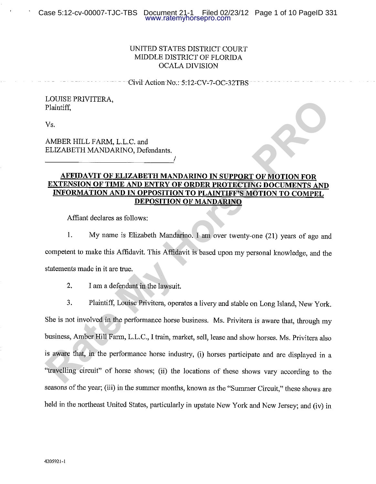# UNITED STATES DISTRICT COURT MIDDLE DISTRICT OF FLORIDA **OCALA DIVISION**

Civil Action No.: 5:12-CV-7-OC-32TBS

**EXERCISE PRIMITEINA,**<br> **RAMBER HILL FARM, L.L.C.** and<br> **REMANDARING, Defendants.**<br> **RAMBER HILL FARM, L.L.C.** and<br> **RETEDAYIT OF ELIZABETH MANDARING IN SUPPORT OF MOTION FOR<br>
<b>EXTENSION OF TIME AND ENTIRY OF ORDER PROTECT** held in the northeast United States, particularly in upstate New York and New Jersey; and (iv) in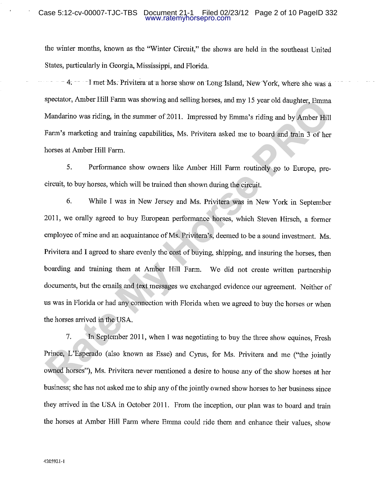# Case 5:12-cv-00007-TJC-TBS Document 21-1 Filed 02/23/12 Page 2 of 10 PageID 332 www.ratemyhorsepro.com

the winter months, known as the "Winter Circuit," the shows are held in the southeast United States, particularly in Georgia, Mississippi, and Florida.

-4. -- -I met Ms. Privitera at a horse show on Long Island, New York, where she was a

Brecistor, Amber Hill Farm was showing and selling horses, and my 15 year old daughter, Farma<br>Mandarino was riding, in the summer of 2011. Impressed by Emma's riding and by Amber Hill<br>Farm's marketing and training capabili

they arrived in the USA in October 2011. From the inception, our plan was to board and train the horses at Amber Hill Farm where Emma could ride them and enhance their values, show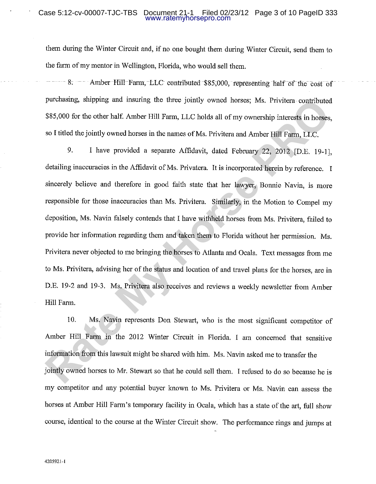# Case 5:12-cv-00007-TJC-TBS Document 21-1 Filed 02/23/12 Page 3 of 10 PageID 333 www.ratemyhorsepro.com

them during the Winter Circuit and, if no one bought them during Winter Circuit, send them to the farm of my mentor in Wellington, Florida, who would sell them.

 $-8$ .  $-$  Amber Hill Farm, LLC contributed \$85,000, representing half of the cost of

perchassing, supping and insuring the three jointly owned horses; Ms. Privitera contributed<br> **RS5,000** for the other half. Amber Hill Farm, LLC holds all of my ownership interests in horses,<br>
so 1 titled the jointly owned

horses at Amber Hill Farm's temporary facility in Ocala, which has a state of the art, full show course, identical to the course at the Winter Circuit show. The performance rings and jumps at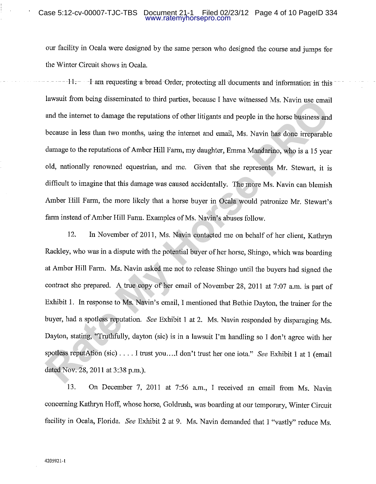### Case 5:12-cv-00007-TJC-TBS Document 21-1 Filed 02/23/12 Page 4 of 10 PageID 334 www.ratemyhorsepro.com

our facility in Ocala were designed by the same person who designed the course and jumps for the Winter Circuit shows in Ocala.

Investit From being elssentinated to third partics, because I have withossed Ms. Navin use cmail<br>and the internet to damage the reputations of other Ititigants and people in the horse business and<br>because in less than two

concerning Kathryn Hoff, whose horse, Goldrush, was boarding at our temporary, Winter Circuit facility in Ocala, Florida. See Exhibit 2 at 9. Ms. Navin demanded that I "vastly" reduce Ms.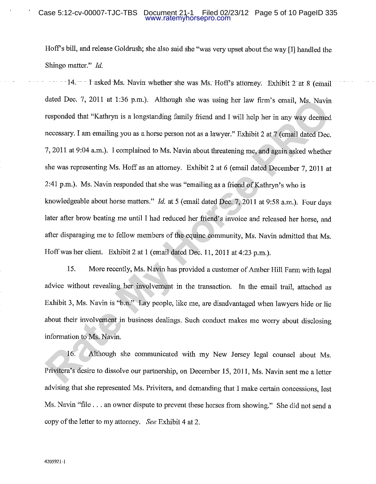# Case 5:12-cv-00007-TJC-TBS Document 21-1 Filed 02/23/12 Page 5 of 10 PageID 335 www.ratemyhorsepro.com

Hoff's bill, and release Goldrush; she also said she "was very upset about the way [I] handled the Shingo matter." Id.

-14. -- I asked Ms. Navin whether she was Ms. Hoff's attorney. Exhibit 2 at 8 (email dated Dec. 7, 2011 at 1:36 p.m.). Although she was using her law limi's email, Ms. Navinesponded that "Kathryn is a longstanding family fidend and 1 will help her in any way decemed<br>responded that "Kathryn is a longstandin

Ms. Navin "file . . . an owner dispute to prevent these horses from showing." She did not send a copy of the letter to my attorney. See Exhibit 4 at 2.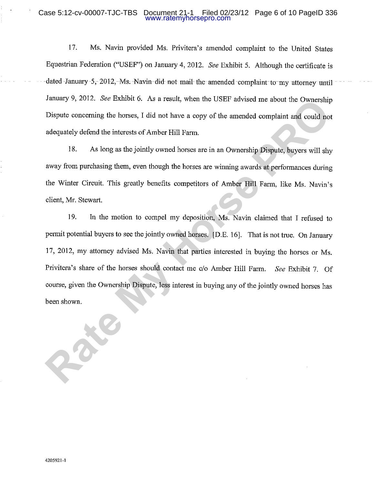# Case 5:12-cv-00007-TJC-TBS Document 21-1 Filed 02/23/12 Page 6 of 10 PageID 336 www.ratemyhorsepro.com

Ms. Navin provided Ms. Privitera's amended complaint to the United States 17. Equestrian Federation ("USEF") on January 4, 2012. See Exhibit 5. Although the certificate is dated January -5, 2012, Ms. Navin did not mail the amended complaint to my attorney until

**Rate Assumery 9, 2012.** *Ree EXIMON* 0. As a result, when the USEF advased me about the Ownership Dispute concerning the horses, I did not have a copy of the amonded complaint and could not adequately defend the interests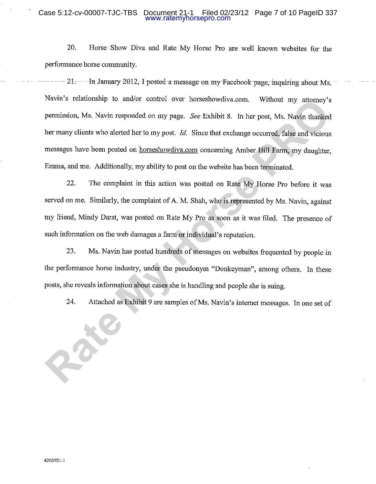# Case 5:12-cv-00007-TJC-TBS Document 21-1 Filed 02/23/12 Page 7 of 10 PageID 337 www.ratemyhorsepro.com

20. Horse Show Diva and Rate My Horse Pro are well known websites for the performance horse community.

 $-21$ .  $-$  In January 2012, I posted a message on my Facebook page, inquiring about Ms. Navius Featabosarp to infact control over norseshowdiva.com. Without my attomey's<br>permission, Ms. Navin responded on my page. See Exhibit 8. In her post, Ms. Navin thanked<br>her many clients who alerted her to my post. Id. S

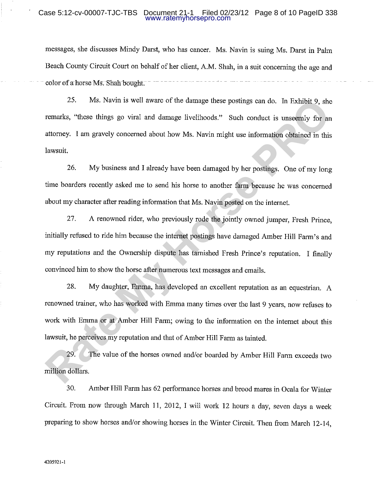### Case 5:12-cv-00007-TJC-TBS Document 21-1 Filed 02/23/12 Page 8 of 10 PageID 338 www.ratemyhorsepro.com

messages, she discusses Mindy Darst, who has cancer. Ms. Navin is suing Ms. Darst in Palm Beach County Circuit Court on behalf of her client, A.M. Shah, in a suit concerning the age and color of a horse Ms. Shah bought.

25. Ms. Navin is well aware of the damage these postings can do. In Exhibit 9, she<br>remarks, "these things go viral and damage livelihoods." Such conduct is unsecenily for an<br>attorney. I am gravely concerned about how Ms. N

Circuit. From now through March 11, 2012, I will work 12 hours a day, seven days a week preparing to show horses and/or showing horses in the Winter Circuit. Then from March 12-14,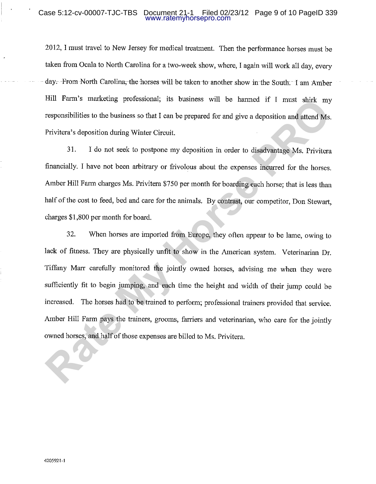# Case 5:12-cv-00007-TJC-TBS Document 21-1 Filed 02/23/12 Page 9 of 10 PageID 339 www.ratemyhorsepro.com

2012, I must travel to New Jersey for medical treatment. Then the performance horses must be taken from Ocala to North Carolina for a two-week show, where, I again will work all day, every day. From North Carolina, the horses will be taken to another show in the South. I am Amber

Figure 1.1 Terms in the basis of the basis of the basis of the state of the state of the state of the basis of the basis of the I can be propered for and give a deposition and attend Ms.<br>
Privitera's deposition during Wint